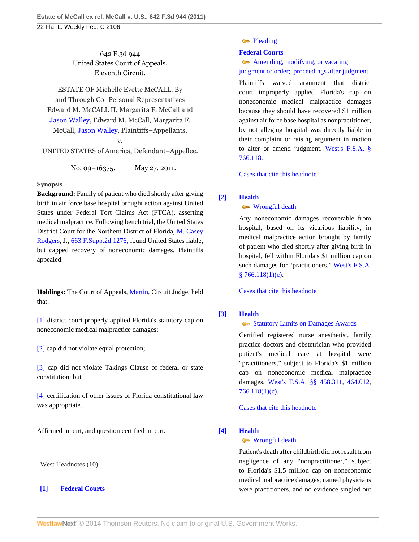642 F.3d 944 United States Court of Appeals, Eleventh Circuit.

ESTATE OF Michelle Evette McCALL, By and Through Co–Personal Representatives Edward M. McCALL II, Margarita F. McCall and [Jason Walley,](http://www.westlaw.com/Search/Results.html?query=advanced%3a+OAID(5023358677)&saveJuris=False&contentType=BUSINESS-INVESTIGATOR&startIndex=1&contextData=(sc.Default)&categoryPageUrl=Home%2fCompanyInvestigator&originationContext=document&vr=3.0&rs=cblt1.0&transitionType=DocumentItem) Edward M. McCall, Margarita F. McCall, [Jason Walley,](http://www.westlaw.com/Search/Results.html?query=advanced%3a+OAID(5023358677)&saveJuris=False&contentType=BUSINESS-INVESTIGATOR&startIndex=1&contextData=(sc.Default)&categoryPageUrl=Home%2fCompanyInvestigator&originationContext=document&vr=3.0&rs=cblt1.0&transitionType=DocumentItem) Plaintiffs–Appellants,

v.

UNITED STATES of America, Defendant–Appellee.

No. 09–16375. | May 27, 2011.

# **Synopsis**

**Background:** Family of patient who died shortly after giving birth in air force base hospital brought action against United States under Federal Tort Claims Act (FTCA), asserting medical malpractice. Following bench trial, the United States District Court for the Northern District of Florida, [M. Casey](http://www.westlaw.com/Link/Document/FullText?findType=h&pubNum=176284&cite=0256148201&originatingDoc=I31e01994887b11e0b63e897ab6fa6920&refType=RQ&originationContext=document&vr=3.0&rs=cblt1.0&transitionType=DocumentItem&contextData=(sc.Default)) [Rodgers](http://www.westlaw.com/Link/Document/FullText?findType=h&pubNum=176284&cite=0256148201&originatingDoc=I31e01994887b11e0b63e897ab6fa6920&refType=RQ&originationContext=document&vr=3.0&rs=cblt1.0&transitionType=DocumentItem&contextData=(sc.Default)), J., [663 F.Supp.2d 1276,](http://www.westlaw.com/Link/Document/FullText?findType=Y&serNum=2019952463&pubNum=4637&originationContext=document&vr=3.0&rs=cblt1.0&transitionType=DocumentItem&contextData=(sc.Default)) found United States liable, but capped recovery of noneconomic damages. Plaintiffs appealed.

**Holdings:** The Court of Appeals, [Martin,](http://www.westlaw.com/Link/Document/FullText?findType=h&pubNum=176284&cite=0222015801&originatingDoc=I31e01994887b11e0b63e897ab6fa6920&refType=RQ&originationContext=document&vr=3.0&rs=cblt1.0&transitionType=DocumentItem&contextData=(sc.Default)) Circuit Judge, held that:

[\[1\]](#page-0-0) district court properly applied Florida's statutory cap on noneconomic medical malpractice damages;

[\[2\]](#page-1-0) cap did not violate equal protection;

[\[3\]](#page-1-1) cap did not violate Takings Clause of federal or state constitution; but

[\[4\]](#page-1-2) certification of other issues of Florida constitutional law was appropriate.

Affirmed in part, and question certified in part.

West Headnotes (10)

# <span id="page-0-1"></span>**[\[1\]](#page-4-0) [Federal Courts](http://www.westlaw.com/Browse/Home/KeyNumber/170B/View.html?docGuid=I31e01994887b11e0b63e897ab6fa6920&originationContext=document&vr=3.0&rs=cblt1.0&transitionType=DocumentItem&contextData=(sc.Default))**

## • [Pleading](http://www.westlaw.com/Browse/Home/KeyNumber/170Bk3411/View.html?docGuid=I31e01994887b11e0b63e897ab6fa6920&originationContext=document&vr=3.0&rs=cblt1.0&transitionType=DocumentItem&contextData=(sc.Default))

# **[Federal Courts](http://www.westlaw.com/Browse/Home/KeyNumber/170B/View.html?docGuid=I31e01994887b11e0b63e897ab6fa6920&originationContext=document&vr=3.0&rs=cblt1.0&transitionType=DocumentItem&contextData=(sc.Default))**

[Amending, modifying, or vacating](http://www.westlaw.com/Browse/Home/KeyNumber/170Bk3421/View.html?docGuid=I31e01994887b11e0b63e897ab6fa6920&originationContext=document&vr=3.0&rs=cblt1.0&transitionType=DocumentItem&contextData=(sc.Default)) [judgment or order; proceedings after judgment](http://www.westlaw.com/Browse/Home/KeyNumber/170Bk3421/View.html?docGuid=I31e01994887b11e0b63e897ab6fa6920&originationContext=document&vr=3.0&rs=cblt1.0&transitionType=DocumentItem&contextData=(sc.Default))

Plaintiffs waived argument that district court improperly applied Florida's cap on noneconomic medical malpractice damages because they should have recovered \$1 million against air force base hospital as nonpractitioner, by not alleging hospital was directly liable in their complaint or raising argument in motion to alter or amend judgment. [West's F.S.A. §](http://www.westlaw.com/Link/Document/FullText?findType=L&pubNum=1000006&cite=FLSTS766.118&originatingDoc=I31e01994887b11e0b63e897ab6fa6920&refType=LQ&originationContext=document&vr=3.0&rs=cblt1.0&transitionType=DocumentItem&contextData=(sc.Default)) [766.118](http://www.westlaw.com/Link/Document/FullText?findType=L&pubNum=1000006&cite=FLSTS766.118&originatingDoc=I31e01994887b11e0b63e897ab6fa6920&refType=LQ&originationContext=document&vr=3.0&rs=cblt1.0&transitionType=DocumentItem&contextData=(sc.Default)).

[Cases that cite this headnote](http://www.westlaw.com/Link/RelatedInformation/DocHeadnoteLink?docGuid=I31e01994887b11e0b63e897ab6fa6920&headnoteId=202536618300120140205015839&originationContext=document&vr=3.0&rs=cblt1.0&transitionType=CitingReferences&contextData=(sc.Default))

# <span id="page-0-0"></span>**[\[2\]](#page-4-1) [Health](http://www.westlaw.com/Browse/Home/KeyNumber/198H/View.html?docGuid=I31e01994887b11e0b63e897ab6fa6920&originationContext=document&vr=3.0&rs=cblt1.0&transitionType=DocumentItem&contextData=(sc.Default))**

## **[Wrongful death](http://www.westlaw.com/Browse/Home/KeyNumber/198Hk834(2)/View.html?docGuid=I31e01994887b11e0b63e897ab6fa6920&originationContext=document&vr=3.0&rs=cblt1.0&transitionType=DocumentItem&contextData=(sc.Default))**

Any noneconomic damages recoverable from hospital, based on its vicarious liability, in medical malpractice action brought by family of patient who died shortly after giving birth in hospital, fell within Florida's \$1 million cap on such damages for "practitioners." [West's F.S.A.](http://www.westlaw.com/Link/Document/FullText?findType=L&pubNum=1000006&cite=FLSTS766.118&originatingDoc=I31e01994887b11e0b63e897ab6fa6920&refType=SP&originationContext=document&vr=3.0&rs=cblt1.0&transitionType=DocumentItem&contextData=(sc.Default)#co_pp_626f000023d46)  $§ 766.118(1)(c).$  $§ 766.118(1)(c).$ 

[Cases that cite this headnote](http://www.westlaw.com/Link/RelatedInformation/DocHeadnoteLink?docGuid=I31e01994887b11e0b63e897ab6fa6920&headnoteId=202536618300220140205015839&originationContext=document&vr=3.0&rs=cblt1.0&transitionType=CitingReferences&contextData=(sc.Default))

# <span id="page-0-2"></span>**[\[3\]](#page-4-2) [Health](http://www.westlaw.com/Browse/Home/KeyNumber/198H/View.html?docGuid=I31e01994887b11e0b63e897ab6fa6920&originationContext=document&vr=3.0&rs=cblt1.0&transitionType=DocumentItem&contextData=(sc.Default))**

# [Statutory Limits on Damages Awards](http://www.westlaw.com/Browse/Home/KeyNumber/198Hk834/View.html?docGuid=I31e01994887b11e0b63e897ab6fa6920&originationContext=document&vr=3.0&rs=cblt1.0&transitionType=DocumentItem&contextData=(sc.Default))

Certified registered nurse anesthetist, family practice doctors and obstetrician who provided patient's medical care at hospital were "practitioners," subject to Florida's \$1 million cap on noneconomic medical malpractice damages. [West's F.S.A. §§ 458.311](http://www.westlaw.com/Link/Document/FullText?findType=L&pubNum=1000006&cite=FLSTS458.311&originatingDoc=I31e01994887b11e0b63e897ab6fa6920&refType=LQ&originationContext=document&vr=3.0&rs=cblt1.0&transitionType=DocumentItem&contextData=(sc.Default)), [464.012](http://www.westlaw.com/Link/Document/FullText?findType=L&pubNum=1000006&cite=FLSTS464.012&originatingDoc=I31e01994887b11e0b63e897ab6fa6920&refType=LQ&originationContext=document&vr=3.0&rs=cblt1.0&transitionType=DocumentItem&contextData=(sc.Default)), [766.118\(1\)\(c\).](http://www.westlaw.com/Link/Document/FullText?findType=L&pubNum=1000006&cite=FLSTS766.118&originatingDoc=I31e01994887b11e0b63e897ab6fa6920&refType=SP&originationContext=document&vr=3.0&rs=cblt1.0&transitionType=DocumentItem&contextData=(sc.Default)#co_pp_626f000023d46)

[Cases that cite this headnote](http://www.westlaw.com/Link/RelatedInformation/DocHeadnoteLink?docGuid=I31e01994887b11e0b63e897ab6fa6920&headnoteId=202536618300320140205015839&originationContext=document&vr=3.0&rs=cblt1.0&transitionType=CitingReferences&contextData=(sc.Default))

# <span id="page-0-3"></span>**[\[4\]](#page-4-3) [Health](http://www.westlaw.com/Browse/Home/KeyNumber/198H/View.html?docGuid=I31e01994887b11e0b63e897ab6fa6920&originationContext=document&vr=3.0&rs=cblt1.0&transitionType=DocumentItem&contextData=(sc.Default))**

# [Wrongful death](http://www.westlaw.com/Browse/Home/KeyNumber/198Hk834(2)/View.html?docGuid=I31e01994887b11e0b63e897ab6fa6920&originationContext=document&vr=3.0&rs=cblt1.0&transitionType=DocumentItem&contextData=(sc.Default))

Patient's death after childbirth did not result from negligence of any "nonpractitioner," subject to Florida's \$1.5 million cap on noneconomic medical malpractice damages; named physicians were practitioners, and no evidence singled out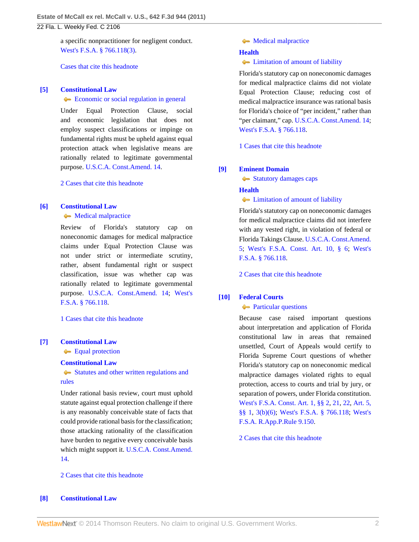a specific nonpractitioner for negligent conduct. [West's F.S.A. § 766.118\(3\)](http://www.westlaw.com/Link/Document/FullText?findType=L&pubNum=1000006&cite=FLSTS766.118&originatingDoc=I31e01994887b11e0b63e897ab6fa6920&refType=SP&originationContext=document&vr=3.0&rs=cblt1.0&transitionType=DocumentItem&contextData=(sc.Default)#co_pp_d08f0000f5f67).

[Cases that cite this headnote](http://www.westlaw.com/Link/RelatedInformation/DocHeadnoteLink?docGuid=I31e01994887b11e0b63e897ab6fa6920&headnoteId=202536618300420140205015839&originationContext=document&vr=3.0&rs=cblt1.0&transitionType=CitingReferences&contextData=(sc.Default))

### <span id="page-1-3"></span>**[\[5\]](#page-5-0) [Constitutional Law](http://www.westlaw.com/Browse/Home/KeyNumber/92/View.html?docGuid=I31e01994887b11e0b63e897ab6fa6920&originationContext=document&vr=3.0&rs=cblt1.0&transitionType=DocumentItem&contextData=(sc.Default))**

#### [Economic or social regulation in general](http://www.westlaw.com/Browse/Home/KeyNumber/92k3065/View.html?docGuid=I31e01994887b11e0b63e897ab6fa6920&originationContext=document&vr=3.0&rs=cblt1.0&transitionType=DocumentItem&contextData=(sc.Default))

Under Equal Protection Clause, social and economic legislation that does not employ suspect classifications or impinge on fundamental rights must be upheld against equal protection attack when legislative means are rationally related to legitimate governmental purpose. [U.S.C.A. Const.Amend. 14.](http://www.westlaw.com/Link/Document/FullText?findType=L&pubNum=1000546&cite=USCOAMENDXIV&originatingDoc=I31e01994887b11e0b63e897ab6fa6920&refType=LQ&originationContext=document&vr=3.0&rs=cblt1.0&transitionType=DocumentItem&contextData=(sc.Default))

[2 Cases that cite this headnote](http://www.westlaw.com/Link/RelatedInformation/DocHeadnoteLink?docGuid=I31e01994887b11e0b63e897ab6fa6920&headnoteId=202536618300520140205015839&originationContext=document&vr=3.0&rs=cblt1.0&transitionType=CitingReferences&contextData=(sc.Default))

#### <span id="page-1-4"></span>**[\[6\]](#page-5-1) [Constitutional Law](http://www.westlaw.com/Browse/Home/KeyNumber/92/View.html?docGuid=I31e01994887b11e0b63e897ab6fa6920&originationContext=document&vr=3.0&rs=cblt1.0&transitionType=DocumentItem&contextData=(sc.Default))**

• [Medical malpractice](http://www.westlaw.com/Browse/Home/KeyNumber/92k3754/View.html?docGuid=I31e01994887b11e0b63e897ab6fa6920&originationContext=document&vr=3.0&rs=cblt1.0&transitionType=DocumentItem&contextData=(sc.Default))

Review of Florida's statutory cap on noneconomic damages for medical malpractice claims under Equal Protection Clause was not under strict or intermediate scrutiny, rather, absent fundamental right or suspect classification, issue was whether cap was rationally related to legitimate governmental purpose. [U.S.C.A. Const.Amend. 14](http://www.westlaw.com/Link/Document/FullText?findType=L&pubNum=1000546&cite=USCOAMENDXIV&originatingDoc=I31e01994887b11e0b63e897ab6fa6920&refType=LQ&originationContext=document&vr=3.0&rs=cblt1.0&transitionType=DocumentItem&contextData=(sc.Default)); [West's](http://www.westlaw.com/Link/Document/FullText?findType=L&pubNum=1000006&cite=FLSTS766.118&originatingDoc=I31e01994887b11e0b63e897ab6fa6920&refType=LQ&originationContext=document&vr=3.0&rs=cblt1.0&transitionType=DocumentItem&contextData=(sc.Default)) [F.S.A. § 766.118.](http://www.westlaw.com/Link/Document/FullText?findType=L&pubNum=1000006&cite=FLSTS766.118&originatingDoc=I31e01994887b11e0b63e897ab6fa6920&refType=LQ&originationContext=document&vr=3.0&rs=cblt1.0&transitionType=DocumentItem&contextData=(sc.Default))

[1 Cases that cite this headnote](http://www.westlaw.com/Link/RelatedInformation/DocHeadnoteLink?docGuid=I31e01994887b11e0b63e897ab6fa6920&headnoteId=202536618300620140205015839&originationContext=document&vr=3.0&rs=cblt1.0&transitionType=CitingReferences&contextData=(sc.Default))

## <span id="page-1-5"></span>**[\[7\]](#page-5-2) [Constitutional Law](http://www.westlaw.com/Browse/Home/KeyNumber/92/View.html?docGuid=I31e01994887b11e0b63e897ab6fa6920&originationContext=document&vr=3.0&rs=cblt1.0&transitionType=DocumentItem&contextData=(sc.Default))**

**[Equal protection](http://www.westlaw.com/Browse/Home/KeyNumber/92k1040/View.html?docGuid=I31e01994887b11e0b63e897ab6fa6920&originationContext=document&vr=3.0&rs=cblt1.0&transitionType=DocumentItem&contextData=(sc.Default))** 

#### **[Constitutional Law](http://www.westlaw.com/Browse/Home/KeyNumber/92/View.html?docGuid=I31e01994887b11e0b63e897ab6fa6920&originationContext=document&vr=3.0&rs=cblt1.0&transitionType=DocumentItem&contextData=(sc.Default))**

[Statutes and other written regulations and](http://www.westlaw.com/Browse/Home/KeyNumber/92k3057/View.html?docGuid=I31e01994887b11e0b63e897ab6fa6920&originationContext=document&vr=3.0&rs=cblt1.0&transitionType=DocumentItem&contextData=(sc.Default)) [rules](http://www.westlaw.com/Browse/Home/KeyNumber/92k3057/View.html?docGuid=I31e01994887b11e0b63e897ab6fa6920&originationContext=document&vr=3.0&rs=cblt1.0&transitionType=DocumentItem&contextData=(sc.Default))

Under rational basis review, court must uphold statute against equal protection challenge if there is any reasonably conceivable state of facts that could provide rational basis for the classification; those attacking rationality of the classification have burden to negative every conceivable basis which might support it. [U.S.C.A. Const.Amend.](http://www.westlaw.com/Link/Document/FullText?findType=L&pubNum=1000546&cite=USCOAMENDXIV&originatingDoc=I31e01994887b11e0b63e897ab6fa6920&refType=LQ&originationContext=document&vr=3.0&rs=cblt1.0&transitionType=DocumentItem&contextData=(sc.Default)) [14](http://www.westlaw.com/Link/Document/FullText?findType=L&pubNum=1000546&cite=USCOAMENDXIV&originatingDoc=I31e01994887b11e0b63e897ab6fa6920&refType=LQ&originationContext=document&vr=3.0&rs=cblt1.0&transitionType=DocumentItem&contextData=(sc.Default)).

### [2 Cases that cite this headnote](http://www.westlaw.com/Link/RelatedInformation/DocHeadnoteLink?docGuid=I31e01994887b11e0b63e897ab6fa6920&headnoteId=202536618300720140205015839&originationContext=document&vr=3.0&rs=cblt1.0&transitionType=CitingReferences&contextData=(sc.Default))

## **[Medical malpractice](http://www.westlaw.com/Browse/Home/KeyNumber/92k3754/View.html?docGuid=I31e01994887b11e0b63e897ab6fa6920&originationContext=document&vr=3.0&rs=cblt1.0&transitionType=DocumentItem&contextData=(sc.Default))**

#### **[Health](http://www.westlaw.com/Browse/Home/KeyNumber/198H/View.html?docGuid=I31e01994887b11e0b63e897ab6fa6920&originationContext=document&vr=3.0&rs=cblt1.0&transitionType=DocumentItem&contextData=(sc.Default))**

**Independent** of amount of liability

Florida's statutory cap on noneconomic damages for medical malpractice claims did not violate Equal Protection Clause; reducing cost of medical malpractice insurance was rational basis for Florida's choice of "per incident," rather than "per claimant," cap. [U.S.C.A. Const.Amend. 14;](http://www.westlaw.com/Link/Document/FullText?findType=L&pubNum=1000546&cite=USCOAMENDXIV&originatingDoc=I31e01994887b11e0b63e897ab6fa6920&refType=LQ&originationContext=document&vr=3.0&rs=cblt1.0&transitionType=DocumentItem&contextData=(sc.Default)) [West's F.S.A. § 766.118.](http://www.westlaw.com/Link/Document/FullText?findType=L&pubNum=1000006&cite=FLSTS766.118&originatingDoc=I31e01994887b11e0b63e897ab6fa6920&refType=LQ&originationContext=document&vr=3.0&rs=cblt1.0&transitionType=DocumentItem&contextData=(sc.Default))

[1 Cases that cite this headnote](http://www.westlaw.com/Link/RelatedInformation/DocHeadnoteLink?docGuid=I31e01994887b11e0b63e897ab6fa6920&headnoteId=202536618300820140205015839&originationContext=document&vr=3.0&rs=cblt1.0&transitionType=CitingReferences&contextData=(sc.Default))

## <span id="page-1-1"></span>**[\[9\]](#page-5-4) [Eminent Domain](http://www.westlaw.com/Browse/Home/KeyNumber/148/View.html?docGuid=I31e01994887b11e0b63e897ab6fa6920&originationContext=document&vr=3.0&rs=cblt1.0&transitionType=DocumentItem&contextData=(sc.Default))**

[Statutory damages caps](http://www.westlaw.com/Browse/Home/KeyNumber/148k2.40(3)/View.html?docGuid=I31e01994887b11e0b63e897ab6fa6920&originationContext=document&vr=3.0&rs=cblt1.0&transitionType=DocumentItem&contextData=(sc.Default))

**[Health](http://www.westlaw.com/Browse/Home/KeyNumber/198H/View.html?docGuid=I31e01994887b11e0b63e897ab6fa6920&originationContext=document&vr=3.0&rs=cblt1.0&transitionType=DocumentItem&contextData=(sc.Default))**

**C** [Limitation of amount of liability](http://www.westlaw.com/Browse/Home/KeyNumber/198Hk606/View.html?docGuid=I31e01994887b11e0b63e897ab6fa6920&originationContext=document&vr=3.0&rs=cblt1.0&transitionType=DocumentItem&contextData=(sc.Default))

Florida's statutory cap on noneconomic damages for medical malpractice claims did not interfere with any vested right, in violation of federal or Florida Takings Clause. [U.S.C.A. Const.Amend.](http://www.westlaw.com/Link/Document/FullText?findType=L&pubNum=1000546&cite=USCOAMENDV&originatingDoc=I31e01994887b11e0b63e897ab6fa6920&refType=LQ&originationContext=document&vr=3.0&rs=cblt1.0&transitionType=DocumentItem&contextData=(sc.Default)) [5](http://www.westlaw.com/Link/Document/FullText?findType=L&pubNum=1000546&cite=USCOAMENDV&originatingDoc=I31e01994887b11e0b63e897ab6fa6920&refType=LQ&originationContext=document&vr=3.0&rs=cblt1.0&transitionType=DocumentItem&contextData=(sc.Default)); [West's F.S.A. Const. Art. 10, § 6](http://www.westlaw.com/Link/Document/FullText?findType=L&pubNum=1000006&cite=FLCNART10S6&originatingDoc=I31e01994887b11e0b63e897ab6fa6920&refType=LQ&originationContext=document&vr=3.0&rs=cblt1.0&transitionType=DocumentItem&contextData=(sc.Default)); [West's](http://www.westlaw.com/Link/Document/FullText?findType=L&pubNum=1000006&cite=FLSTS766.118&originatingDoc=I31e01994887b11e0b63e897ab6fa6920&refType=LQ&originationContext=document&vr=3.0&rs=cblt1.0&transitionType=DocumentItem&contextData=(sc.Default)) [F.S.A. § 766.118.](http://www.westlaw.com/Link/Document/FullText?findType=L&pubNum=1000006&cite=FLSTS766.118&originatingDoc=I31e01994887b11e0b63e897ab6fa6920&refType=LQ&originationContext=document&vr=3.0&rs=cblt1.0&transitionType=DocumentItem&contextData=(sc.Default))

[2 Cases that cite this headnote](http://www.westlaw.com/Link/RelatedInformation/DocHeadnoteLink?docGuid=I31e01994887b11e0b63e897ab6fa6920&headnoteId=202536618300920140205015839&originationContext=document&vr=3.0&rs=cblt1.0&transitionType=CitingReferences&contextData=(sc.Default))

## <span id="page-1-2"></span>**[\[10\]](#page-6-0) [Federal Courts](http://www.westlaw.com/Browse/Home/KeyNumber/170B/View.html?docGuid=I31e01994887b11e0b63e897ab6fa6920&originationContext=document&vr=3.0&rs=cblt1.0&transitionType=DocumentItem&contextData=(sc.Default))**

#### **[Particular questions](http://www.westlaw.com/Browse/Home/KeyNumber/170Bk3107/View.html?docGuid=I31e01994887b11e0b63e897ab6fa6920&originationContext=document&vr=3.0&rs=cblt1.0&transitionType=DocumentItem&contextData=(sc.Default))**

Because case raised important questions about interpretation and application of Florida constitutional law in areas that remained unsettled, Court of Appeals would certify to Florida Supreme Court questions of whether Florida's statutory cap on noneconomic medical malpractice damages violated rights to equal protection, access to courts and trial by jury, or separation of powers, under Florida constitution. [West's F.S.A. Const. Art. 1, §§ 2](http://www.westlaw.com/Link/Document/FullText?findType=L&pubNum=1000006&cite=FLCNART1S2&originatingDoc=I31e01994887b11e0b63e897ab6fa6920&refType=LQ&originationContext=document&vr=3.0&rs=cblt1.0&transitionType=DocumentItem&contextData=(sc.Default)), [21](http://www.westlaw.com/Link/Document/FullText?findType=L&pubNum=1000006&cite=FLCNART1S21&originatingDoc=I31e01994887b11e0b63e897ab6fa6920&refType=LQ&originationContext=document&vr=3.0&rs=cblt1.0&transitionType=DocumentItem&contextData=(sc.Default)), [22](http://www.westlaw.com/Link/Document/FullText?findType=L&pubNum=1000006&cite=FLCNART1S22&originatingDoc=I31e01994887b11e0b63e897ab6fa6920&refType=LQ&originationContext=document&vr=3.0&rs=cblt1.0&transitionType=DocumentItem&contextData=(sc.Default)), [Art. 5,](http://www.westlaw.com/Link/Document/FullText?findType=L&pubNum=1000006&cite=FLCNART5S1&originatingDoc=I31e01994887b11e0b63e897ab6fa6920&refType=LQ&originationContext=document&vr=3.0&rs=cblt1.0&transitionType=DocumentItem&contextData=(sc.Default)) [§§ 1](http://www.westlaw.com/Link/Document/FullText?findType=L&pubNum=1000006&cite=FLCNART5S1&originatingDoc=I31e01994887b11e0b63e897ab6fa6920&refType=LQ&originationContext=document&vr=3.0&rs=cblt1.0&transitionType=DocumentItem&contextData=(sc.Default)), [3\(b\)\(6\);](http://www.westlaw.com/Link/Document/FullText?findType=L&pubNum=1000006&cite=FLCNART5S3&originatingDoc=I31e01994887b11e0b63e897ab6fa6920&refType=LQ&originationContext=document&vr=3.0&rs=cblt1.0&transitionType=DocumentItem&contextData=(sc.Default)) [West's F.S.A. § 766.118;](http://www.westlaw.com/Link/Document/FullText?findType=L&pubNum=1000006&cite=FLSTS766.118&originatingDoc=I31e01994887b11e0b63e897ab6fa6920&refType=LQ&originationContext=document&vr=3.0&rs=cblt1.0&transitionType=DocumentItem&contextData=(sc.Default)) [West's](http://www.westlaw.com/Link/Document/FullText?findType=L&pubNum=1000006&cite=FLSTRAPR9.150&originatingDoc=I31e01994887b11e0b63e897ab6fa6920&refType=LQ&originationContext=document&vr=3.0&rs=cblt1.0&transitionType=DocumentItem&contextData=(sc.Default)) [F.S.A. R.App.P.Rule 9.150.](http://www.westlaw.com/Link/Document/FullText?findType=L&pubNum=1000006&cite=FLSTRAPR9.150&originatingDoc=I31e01994887b11e0b63e897ab6fa6920&refType=LQ&originationContext=document&vr=3.0&rs=cblt1.0&transitionType=DocumentItem&contextData=(sc.Default))

[2 Cases that cite this headnote](http://www.westlaw.com/Link/RelatedInformation/DocHeadnoteLink?docGuid=I31e01994887b11e0b63e897ab6fa6920&headnoteId=202536618301020140205015839&originationContext=document&vr=3.0&rs=cblt1.0&transitionType=CitingReferences&contextData=(sc.Default))

#### <span id="page-1-0"></span>**[\[8\]](#page-5-3) [Constitutional Law](http://www.westlaw.com/Browse/Home/KeyNumber/92/View.html?docGuid=I31e01994887b11e0b63e897ab6fa6920&originationContext=document&vr=3.0&rs=cblt1.0&transitionType=DocumentItem&contextData=(sc.Default))**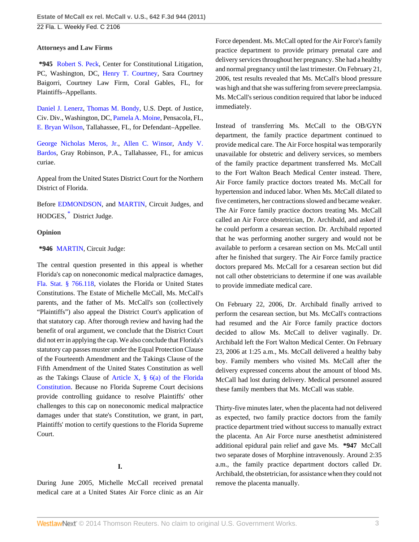# **Attorneys and Law Firms**

**\*945** [Robert S. Peck,](http://www.westlaw.com/Link/Document/FullText?findType=h&pubNum=176284&cite=0107633201&originatingDoc=I31e01994887b11e0b63e897ab6fa6920&refType=RQ&originationContext=document&vr=3.0&rs=cblt1.0&transitionType=DocumentItem&contextData=(sc.Default)) Center for Constitutional Litigation, PC, Washington, DC, [Henry T. Courtney](http://www.westlaw.com/Link/Document/FullText?findType=h&pubNum=176284&cite=0287615901&originatingDoc=I31e01994887b11e0b63e897ab6fa6920&refType=RQ&originationContext=document&vr=3.0&rs=cblt1.0&transitionType=DocumentItem&contextData=(sc.Default)), Sara Courtney Baigorri, Courtney Law Firm, Coral Gables, FL, for Plaintiffs–Appellants.

[Daniel J. Lenerz](http://www.westlaw.com/Link/Document/FullText?findType=h&pubNum=176284&cite=0373266601&originatingDoc=I31e01994887b11e0b63e897ab6fa6920&refType=RQ&originationContext=document&vr=3.0&rs=cblt1.0&transitionType=DocumentItem&contextData=(sc.Default)), [Thomas M. Bondy,](http://www.westlaw.com/Link/Document/FullText?findType=h&pubNum=176284&cite=0213499701&originatingDoc=I31e01994887b11e0b63e897ab6fa6920&refType=RQ&originationContext=document&vr=3.0&rs=cblt1.0&transitionType=DocumentItem&contextData=(sc.Default)) U.S. Dept. of Justice, Civ. Div., Washington, DC, [Pamela A. Moine](http://www.westlaw.com/Link/Document/FullText?findType=h&pubNum=176284&cite=0128965701&originatingDoc=I31e01994887b11e0b63e897ab6fa6920&refType=RQ&originationContext=document&vr=3.0&rs=cblt1.0&transitionType=DocumentItem&contextData=(sc.Default)), Pensacola, FL, [E. Bryan Wilson,](http://www.westlaw.com/Link/Document/FullText?findType=h&pubNum=176284&cite=0101378401&originatingDoc=I31e01994887b11e0b63e897ab6fa6920&refType=RQ&originationContext=document&vr=3.0&rs=cblt1.0&transitionType=DocumentItem&contextData=(sc.Default)) Tallahassee, FL, for Defendant–Appellee.

[George Nicholas Meros, Jr.,](http://www.westlaw.com/Link/Document/FullText?findType=h&pubNum=176284&cite=0205335701&originatingDoc=I31e01994887b11e0b63e897ab6fa6920&refType=RQ&originationContext=document&vr=3.0&rs=cblt1.0&transitionType=DocumentItem&contextData=(sc.Default)) [Allen C. Winsor,](http://www.westlaw.com/Link/Document/FullText?findType=h&pubNum=176284&cite=0359437101&originatingDoc=I31e01994887b11e0b63e897ab6fa6920&refType=RQ&originationContext=document&vr=3.0&rs=cblt1.0&transitionType=DocumentItem&contextData=(sc.Default)) [Andy V.](http://www.westlaw.com/Link/Document/FullText?findType=h&pubNum=176284&cite=0374407501&originatingDoc=I31e01994887b11e0b63e897ab6fa6920&refType=RQ&originationContext=document&vr=3.0&rs=cblt1.0&transitionType=DocumentItem&contextData=(sc.Default)) [Bardos](http://www.westlaw.com/Link/Document/FullText?findType=h&pubNum=176284&cite=0374407501&originatingDoc=I31e01994887b11e0b63e897ab6fa6920&refType=RQ&originationContext=document&vr=3.0&rs=cblt1.0&transitionType=DocumentItem&contextData=(sc.Default)), Gray Robinson, P.A., Tallahassee, FL, for amicus curiae.

Appeal from the United States District Court for the Northern District of Florida.

<span id="page-2-0"></span>Before [EDMONDSON,](http://www.westlaw.com/Link/Document/FullText?findType=h&pubNum=176284&cite=0257716301&originatingDoc=I31e01994887b11e0b63e897ab6fa6920&refType=RQ&originationContext=document&vr=3.0&rs=cblt1.0&transitionType=DocumentItem&contextData=(sc.Default)) and [MARTIN](http://www.westlaw.com/Link/Document/FullText?findType=h&pubNum=176284&cite=0222015801&originatingDoc=I31e01994887b11e0b63e897ab6fa6920&refType=RQ&originationContext=document&vr=3.0&rs=cblt1.0&transitionType=DocumentItem&contextData=(sc.Default)), Circuit Judges, and HODGES, [\\*](#page-7-0) District Judge.

## **Opinion**

## **\*946** [MARTIN,](http://www.westlaw.com/Link/Document/FullText?findType=h&pubNum=176284&cite=0222015801&originatingDoc=I31e01994887b11e0b63e897ab6fa6920&refType=RQ&originationContext=document&vr=3.0&rs=cblt1.0&transitionType=DocumentItem&contextData=(sc.Default)) Circuit Judge:

The central question presented in this appeal is whether Florida's cap on noneconomic medical malpractice damages, [Fla. Stat. § 766.118,](http://www.westlaw.com/Link/Document/FullText?findType=L&pubNum=1000006&cite=FLSTS766.118&originatingDoc=I31e01994887b11e0b63e897ab6fa6920&refType=LQ&originationContext=document&vr=3.0&rs=cblt1.0&transitionType=DocumentItem&contextData=(sc.Default)) violates the Florida or United States Constitutions. The Estate of Michelle McCall, Ms. McCall's parents, and the father of Ms. McCall's son (collectively "Plaintiffs") also appeal the District Court's application of that statutory cap. After thorough review and having had the benefit of oral argument, we conclude that the District Court did not err in applying the cap. We also conclude that Florida's statutory cap passes muster under the Equal Protection Clause of the Fourteenth Amendment and the Takings Clause of the Fifth Amendment of the United States Constitution as well as the Takings Clause of Article X,  $\S$  6(a) of the Florida [Constitution](http://www.westlaw.com/Link/Document/FullText?findType=L&pubNum=1000006&cite=FLCNART10S6&originatingDoc=I31e01994887b11e0b63e897ab6fa6920&refType=LQ&originationContext=document&vr=3.0&rs=cblt1.0&transitionType=DocumentItem&contextData=(sc.Default)). Because no Florida Supreme Court decisions provide controlling guidance to resolve Plaintiffs' other challenges to this cap on noneconomic medical malpractice damages under that state's Constitution, we grant, in part, Plaintiffs' motion to certify questions to the Florida Supreme Court.

# **I.**

During June 2005, Michelle McCall received prenatal medical care at a United States Air Force clinic as an Air Force dependent. Ms. McCall opted for the Air Force's family practice department to provide primary prenatal care and delivery services throughout her pregnancy. She had a healthy and normal pregnancy until the last trimester. On February 21, 2006, test results revealed that Ms. McCall's blood pressure was high and that she was suffering from severe preeclampsia. Ms. McCall's serious condition required that labor be induced immediately.

Instead of transferring Ms. McCall to the OB/GYN department, the family practice department continued to provide medical care. The Air Force hospital was temporarily unavailable for obstetric and delivery services, so members of the family practice department transferred Ms. McCall to the Fort Walton Beach Medical Center instead. There, Air Force family practice doctors treated Ms. McCall for hypertension and induced labor. When Ms. McCall dilated to five centimeters, her contractions slowed and became weaker. The Air Force family practice doctors treating Ms. McCall called an Air Force obstetrician, Dr. Archibald, and asked if he could perform a cesarean section. Dr. Archibald reported that he was performing another surgery and would not be available to perform a cesarean section on Ms. McCall until after he finished that surgery. The Air Force family practice doctors prepared Ms. McCall for a cesarean section but did not call other obstetricians to determine if one was available to provide immediate medical care.

On February 22, 2006, Dr. Archibald finally arrived to perform the cesarean section, but Ms. McCall's contractions had resumed and the Air Force family practice doctors decided to allow Ms. McCall to deliver vaginally. Dr. Archibald left the Fort Walton Medical Center. On February 23, 2006 at 1:25 a.m., Ms. McCall delivered a healthy baby boy. Family members who visited Ms. McCall after the delivery expressed concerns about the amount of blood Ms. McCall had lost during delivery. Medical personnel assured these family members that Ms. McCall was stable.

Thirty-five minutes later, when the placenta had not delivered as expected, two family practice doctors from the family practice department tried without success to manually extract the placenta. An Air Force nurse anesthetist administered additional epidural pain relief and gave Ms. **\*947** McCall two separate doses of Morphine intravenously. Around 2:35 a.m., the family practice department doctors called Dr. Archibald, the obstetrician, for assistance when they could not remove the placenta manually.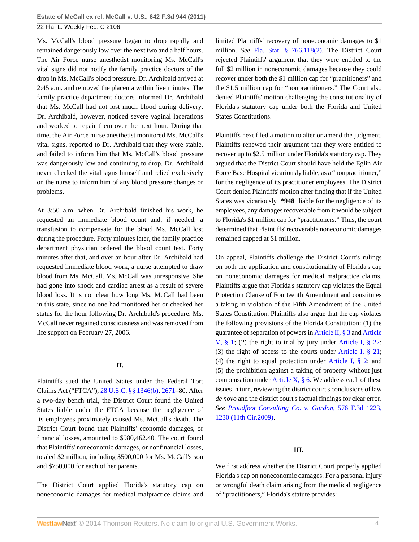Ms. McCall's blood pressure began to drop rapidly and remained dangerously low over the next two and a half hours. The Air Force nurse anesthetist monitoring Ms. McCall's vital signs did not notify the family practice doctors of the drop in Ms. McCall's blood pressure. Dr. Archibald arrived at 2:45 a.m. and removed the placenta within five minutes. The family practice department doctors informed Dr. Archibald that Ms. McCall had not lost much blood during delivery. Dr. Archibald, however, noticed severe vaginal lacerations and worked to repair them over the next hour. During that time, the Air Force nurse anesthetist monitored Ms. McCall's vital signs, reported to Dr. Archibald that they were stable, and failed to inform him that Ms. McCall's blood pressure was dangerously low and continuing to drop. Dr. Archibald never checked the vital signs himself and relied exclusively on the nurse to inform him of any blood pressure changes or problems.

At 3:50 a.m. when Dr. Archibald finished his work, he requested an immediate blood count and, if needed, a transfusion to compensate for the blood Ms. McCall lost during the procedure. Forty minutes later, the family practice department physician ordered the blood count test. Forty minutes after that, and over an hour after Dr. Archibald had requested immediate blood work, a nurse attempted to draw blood from Ms. McCall. Ms. McCall was unresponsive. She had gone into shock and cardiac arrest as a result of severe blood loss. It is not clear how long Ms. McCall had been in this state, since no one had monitored her or checked her status for the hour following Dr. Archibald's procedure. Ms. McCall never regained consciousness and was removed from life support on February 27, 2006.

## **II.**

Plaintiffs sued the United States under the Federal Tort Claims Act ("FTCA"), [28 U.S.C. §§ 1346\(b\),](http://www.westlaw.com/Link/Document/FullText?findType=L&pubNum=1000546&cite=28USCAS1346&originationContext=document&vr=3.0&rs=cblt1.0&transitionType=DocumentItem&contextData=(sc.Default)#co_pp_a83b000018c76) [2671](http://www.westlaw.com/Link/Document/FullText?findType=L&pubNum=1000546&cite=28USCAS2671&originatingDoc=I31e01994887b11e0b63e897ab6fa6920&refType=LQ&originationContext=document&vr=3.0&rs=cblt1.0&transitionType=DocumentItem&contextData=(sc.Default))–80. After a two-day bench trial, the District Court found the United States liable under the FTCA because the negligence of its employees proximately caused Ms. McCall's death. The District Court found that Plaintiffs' economic damages, or financial losses, amounted to \$980,462.40. The court found that Plaintiffs' noneconomic damages, or nonfinancial losses, totaled \$2 million, including \$500,000 for Ms. McCall's son and \$750,000 for each of her parents.

The District Court applied Florida's statutory cap on noneconomic damages for medical malpractice claims and limited Plaintiffs' recovery of noneconomic damages to \$1 million. *See* [Fla. Stat. § 766.118\(2\).](http://www.westlaw.com/Link/Document/FullText?findType=L&pubNum=1000006&cite=FLSTS766.118&originatingDoc=I31e01994887b11e0b63e897ab6fa6920&refType=SP&originationContext=document&vr=3.0&rs=cblt1.0&transitionType=DocumentItem&contextData=(sc.Default)#co_pp_58730000872b1) The District Court rejected Plaintiffs' argument that they were entitled to the full \$2 million in noneconomic damages because they could recover under both the \$1 million cap for "practitioners" and the \$1.5 million cap for "nonpractitioners." The Court also denied Plaintiffs' motion challenging the constitutionality of Florida's statutory cap under both the Florida and United States Constitutions.

Plaintiffs next filed a motion to alter or amend the judgment. Plaintiffs renewed their argument that they were entitled to recover up to \$2.5 million under Florida's statutory cap. They argued that the District Court should have held the Eglin Air Force Base Hospital vicariously liable, as a "nonpractitioner," for the negligence of its practitioner employees. The District Court denied Plaintiffs' motion after finding that if the United States was vicariously **\*948** liable for the negligence of its employees, any damages recoverable from it would be subject to Florida's \$1 million cap for "practitioners." Thus, the court determined that Plaintiffs' recoverable noneconomic damages remained capped at \$1 million.

On appeal, Plaintiffs challenge the District Court's rulings on both the application and constitutionality of Florida's cap on noneconomic damages for medical malpractice claims. Plaintiffs argue that Florida's statutory cap violates the Equal Protection Clause of Fourteenth Amendment and constitutes a taking in violation of the Fifth Amendment of the United States Constitution. Plaintiffs also argue that the cap violates the following provisions of the Florida Constitution: (1) the guarantee of separation of powers in [Article II, § 3](http://www.westlaw.com/Link/Document/FullText?findType=L&pubNum=1000006&cite=FLCNART2S3&originatingDoc=I31e01994887b11e0b63e897ab6fa6920&refType=LQ&originationContext=document&vr=3.0&rs=cblt1.0&transitionType=DocumentItem&contextData=(sc.Default)) and [Article](http://www.westlaw.com/Link/Document/FullText?findType=L&pubNum=1000006&cite=FLCNART5S1&originatingDoc=I31e01994887b11e0b63e897ab6fa6920&refType=LQ&originationContext=document&vr=3.0&rs=cblt1.0&transitionType=DocumentItem&contextData=(sc.Default)) [V, § 1](http://www.westlaw.com/Link/Document/FullText?findType=L&pubNum=1000006&cite=FLCNART5S1&originatingDoc=I31e01994887b11e0b63e897ab6fa6920&refType=LQ&originationContext=document&vr=3.0&rs=cblt1.0&transitionType=DocumentItem&contextData=(sc.Default)); (2) the right to trial by jury under [Article I, § 22](http://www.westlaw.com/Link/Document/FullText?findType=L&pubNum=1000006&cite=FLCNART1S22&originatingDoc=I31e01994887b11e0b63e897ab6fa6920&refType=LQ&originationContext=document&vr=3.0&rs=cblt1.0&transitionType=DocumentItem&contextData=(sc.Default)); (3) the right of access to the courts under [Article I, § 21](http://www.westlaw.com/Link/Document/FullText?findType=L&pubNum=1000006&cite=FLCNART1S21&originatingDoc=I31e01994887b11e0b63e897ab6fa6920&refType=LQ&originationContext=document&vr=3.0&rs=cblt1.0&transitionType=DocumentItem&contextData=(sc.Default)); (4) the right to equal protection under [Article I, § 2;](http://www.westlaw.com/Link/Document/FullText?findType=L&pubNum=1000006&cite=FLCNART1S2&originatingDoc=I31e01994887b11e0b63e897ab6fa6920&refType=LQ&originationContext=document&vr=3.0&rs=cblt1.0&transitionType=DocumentItem&contextData=(sc.Default)) and (5) the prohibition against a taking of property without just compensation under Article X,  $\S$  6. We address each of these issues in turn, reviewing the district court's conclusions of law *de novo* and the district court's factual findings for clear error. *See [Proudfoot Consulting Co. v. Gordon,](http://www.westlaw.com/Link/Document/FullText?findType=Y&serNum=2019489701&pubNum=506&fi=co_pp_sp_506_1230&originationContext=document&vr=3.0&rs=cblt1.0&transitionType=DocumentItem&contextData=(sc.Default)#co_pp_sp_506_1230)* 576 F.3d 1223, [1230 \(11th Cir.2009\).](http://www.westlaw.com/Link/Document/FullText?findType=Y&serNum=2019489701&pubNum=506&fi=co_pp_sp_506_1230&originationContext=document&vr=3.0&rs=cblt1.0&transitionType=DocumentItem&contextData=(sc.Default)#co_pp_sp_506_1230)

#### **III.**

We first address whether the District Court properly applied Florida's cap on noneconomic damages. For a personal injury or wrongful death claim arising from the medical negligence of "practitioners," Florida's statute provides: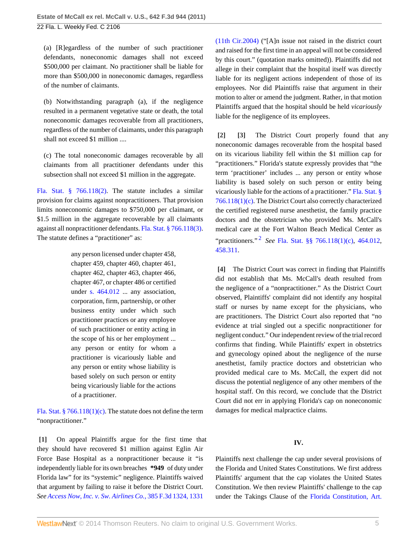(a) [R]egardless of the number of such practitioner defendants, noneconomic damages shall not exceed \$500,000 per claimant. No practitioner shall be liable for more than \$500,000 in noneconomic damages, regardless of the number of claimants.

(b) Notwithstanding paragraph (a), if the negligence resulted in a permanent vegetative state or death, the total noneconomic damages recoverable from all practitioners, regardless of the number of claimants, under this paragraph shall not exceed \$1 million ....

(c) The total noneconomic damages recoverable by all claimants from all practitioner defendants under this subsection shall not exceed \$1 million in the aggregate.

[Fla. Stat. § 766.118\(2\).](http://www.westlaw.com/Link/Document/FullText?findType=L&pubNum=1000006&cite=FLSTS766.118&originatingDoc=I31e01994887b11e0b63e897ab6fa6920&refType=SP&originationContext=document&vr=3.0&rs=cblt1.0&transitionType=DocumentItem&contextData=(sc.Default)#co_pp_58730000872b1) The statute includes a similar provision for claims against nonpractitioners. That provision limits noneconomic damages to \$750,000 per claimant, or \$1.5 million in the aggregate recoverable by all claimants against all nonpractitioner defendants. [Fla. Stat. § 766.118\(3\).](http://www.westlaw.com/Link/Document/FullText?findType=L&pubNum=1000006&cite=FLSTS766.118&originatingDoc=I31e01994887b11e0b63e897ab6fa6920&refType=SP&originationContext=document&vr=3.0&rs=cblt1.0&transitionType=DocumentItem&contextData=(sc.Default)#co_pp_d08f0000f5f67) The statute defines a "practitioner" as:

> any person licensed under chapter 458, chapter 459, chapter 460, chapter 461, chapter 462, chapter 463, chapter 466, chapter 467, or chapter 486 or certified under [s. 464.012](http://www.westlaw.com/Link/Document/FullText?findType=L&pubNum=1000006&cite=FLSTS464.012&originatingDoc=I31e01994887b11e0b63e897ab6fa6920&refType=LQ&originationContext=document&vr=3.0&rs=cblt1.0&transitionType=DocumentItem&contextData=(sc.Default)) ... any association, corporation, firm, partnership, or other business entity under which such practitioner practices or any employee of such practitioner or entity acting in the scope of his or her employment ... any person or entity for whom a practitioner is vicariously liable and any person or entity whose liability is based solely on such person or entity being vicariously liable for the actions of a practitioner.

[Fla. Stat. § 766.118\(1\)\(c\)](http://www.westlaw.com/Link/Document/FullText?findType=L&pubNum=1000006&cite=FLSTS766.118&originatingDoc=I31e01994887b11e0b63e897ab6fa6920&refType=SP&originationContext=document&vr=3.0&rs=cblt1.0&transitionType=DocumentItem&contextData=(sc.Default)#co_pp_626f000023d46). The statute does not define the term "nonpractitioner."

<span id="page-4-0"></span>**[\[1\]](#page-0-1)** On appeal Plaintiffs argue for the first time that they should have recovered \$1 million against Eglin Air Force Base Hospital as a nonpractitioner because it "is independently liable for its own breaches **\*949** of duty under Florida law" for its "systemic" negligence. Plaintiffs waived that argument by failing to raise it before the District Court. *See [Access Now, Inc. v. Sw. Airlines Co.,](http://www.westlaw.com/Link/Document/FullText?findType=Y&serNum=2005139269&pubNum=506&fi=co_pp_sp_506_1331&originationContext=document&vr=3.0&rs=cblt1.0&transitionType=DocumentItem&contextData=(sc.Default)#co_pp_sp_506_1331)* 385 F.3d 1324, 1331

[\(11th Cir.2004\)](http://www.westlaw.com/Link/Document/FullText?findType=Y&serNum=2005139269&pubNum=506&fi=co_pp_sp_506_1331&originationContext=document&vr=3.0&rs=cblt1.0&transitionType=DocumentItem&contextData=(sc.Default)#co_pp_sp_506_1331) ("[A]n issue not raised in the district court and raised for the first time in an appeal will not be considered by this court." (quotation marks omitted)). Plaintiffs did not allege in their complaint that the hospital itself was directly liable for its negligent actions independent of those of its employees. Nor did Plaintiffs raise that argument in their motion to alter or amend the judgment. Rather, in that motion Plaintiffs argued that the hospital should be held *vicariously* liable for the negligence of its employees.

<span id="page-4-2"></span><span id="page-4-1"></span>**[\[2\]](#page-0-0) [\[3\]](#page-0-2)** The District Court properly found that any noneconomic damages recoverable from the hospital based on its vicarious liability fell within the \$1 million cap for "practitioners." Florida's statute expressly provides that "the term 'practitioner' includes ... any person or entity whose liability is based solely on such person or entity being vicariously liable for the actions of a practitioner."[Fla. Stat. §](http://www.westlaw.com/Link/Document/FullText?findType=L&pubNum=1000006&cite=FLSTS766.118&originatingDoc=I31e01994887b11e0b63e897ab6fa6920&refType=SP&originationContext=document&vr=3.0&rs=cblt1.0&transitionType=DocumentItem&contextData=(sc.Default)#co_pp_626f000023d46) [766.118\(1\)\(c\)](http://www.westlaw.com/Link/Document/FullText?findType=L&pubNum=1000006&cite=FLSTS766.118&originatingDoc=I31e01994887b11e0b63e897ab6fa6920&refType=SP&originationContext=document&vr=3.0&rs=cblt1.0&transitionType=DocumentItem&contextData=(sc.Default)#co_pp_626f000023d46). The District Court also correctly characterized the certified registered nurse anesthetist, the family practice doctors and the obstetrician who provided Ms. McCall's medical care at the Fort Walton Beach Medical Center as "practitioners." [2](#page-7-1) *See* [Fla. Stat. §§ 766.118\(1\)\(c\)](http://www.westlaw.com/Link/Document/FullText?findType=L&pubNum=1000006&cite=FLSTS766.118&originatingDoc=I31e01994887b11e0b63e897ab6fa6920&refType=SP&originationContext=document&vr=3.0&rs=cblt1.0&transitionType=DocumentItem&contextData=(sc.Default)#co_pp_626f000023d46), [464.012](http://www.westlaw.com/Link/Document/FullText?findType=L&pubNum=1000006&cite=FLSTS464.012&originatingDoc=I31e01994887b11e0b63e897ab6fa6920&refType=LQ&originationContext=document&vr=3.0&rs=cblt1.0&transitionType=DocumentItem&contextData=(sc.Default)), [458.311.](http://www.westlaw.com/Link/Document/FullText?findType=L&pubNum=1000006&cite=FLSTS458.311&originatingDoc=I31e01994887b11e0b63e897ab6fa6920&refType=LQ&originationContext=document&vr=3.0&rs=cblt1.0&transitionType=DocumentItem&contextData=(sc.Default))

<span id="page-4-4"></span><span id="page-4-3"></span>**[\[4\]](#page-0-3)** The District Court was correct in finding that Plaintiffs did not establish that Ms. McCall's death resulted from the negligence of a "nonpractitioner." As the District Court observed, Plaintiffs' complaint did not identify any hospital staff or nurses by name except for the physicians, who are practitioners. The District Court also reported that "no evidence at trial singled out a specific nonpractitioner for negligent conduct." Our independent review of the trial record confirms that finding. While Plaintiffs' expert in obstetrics and gynecology opined about the negligence of the nurse anesthetist, family practice doctors and obstetrician who provided medical care to Ms. McCall, the expert did not discuss the potential negligence of any other members of the hospital staff. On this record, we conclude that the District Court did not err in applying Florida's cap on noneconomic damages for medical malpractice claims.

# **IV.**

Plaintiffs next challenge the cap under several provisions of the Florida and United States Constitutions. We first address Plaintiffs' argument that the cap violates the United States Constitution. We then review Plaintiffs' challenge to the cap under the Takings Clause of the [Florida Constitution, Art.](http://www.westlaw.com/Link/Document/FullText?findType=L&pubNum=1000006&cite=FLCNART10S6&originatingDoc=I31e01994887b11e0b63e897ab6fa6920&refType=LQ&originationContext=document&vr=3.0&rs=cblt1.0&transitionType=DocumentItem&contextData=(sc.Default))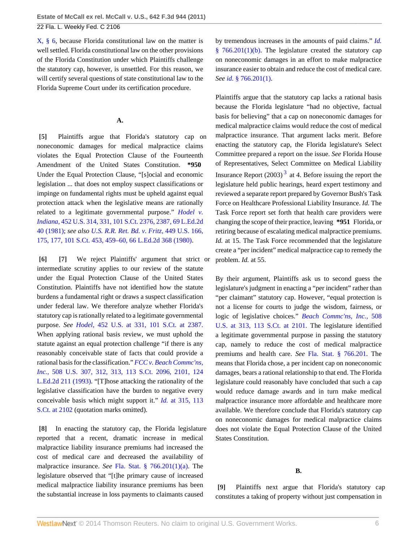[X, § 6](http://www.westlaw.com/Link/Document/FullText?findType=L&pubNum=1000006&cite=FLCNART10S6&originatingDoc=I31e01994887b11e0b63e897ab6fa6920&refType=LQ&originationContext=document&vr=3.0&rs=cblt1.0&transitionType=DocumentItem&contextData=(sc.Default)), because Florida constitutional law on the matter is well settled. Florida constitutional law on the other provisions of the Florida Constitution under which Plaintiffs challenge the statutory cap, however, is unsettled. For this reason, we will certify several questions of state constitutional law to the Florida Supreme Court under its certification procedure.

## **A.**

<span id="page-5-0"></span>**[\[5\]](#page-1-3)** Plaintiffs argue that Florida's statutory cap on noneconomic damages for medical malpractice claims violates the Equal Protection Clause of the Fourteenth Amendment of the United States Constitution. **\*950** Under the Equal Protection Clause, "[s]ocial and economic legislation ... that does not employ suspect classifications or impinge on fundamental rights must be upheld against equal protection attack when the legislative means are rationally related to a legitimate governmental purpose." *[Hodel v.](http://www.westlaw.com/Link/Document/FullText?findType=Y&serNum=1981126306&pubNum=708&fi=co_pp_sp_708_2387&originationContext=document&vr=3.0&rs=cblt1.0&transitionType=DocumentItem&contextData=(sc.Default)#co_pp_sp_708_2387) Indiana,* [452 U.S. 314, 331, 101 S.Ct. 2376, 2387, 69 L.Ed.2d](http://www.westlaw.com/Link/Document/FullText?findType=Y&serNum=1981126306&pubNum=708&fi=co_pp_sp_708_2387&originationContext=document&vr=3.0&rs=cblt1.0&transitionType=DocumentItem&contextData=(sc.Default)#co_pp_sp_708_2387) [40 \(1981\)](http://www.westlaw.com/Link/Document/FullText?findType=Y&serNum=1981126306&pubNum=708&fi=co_pp_sp_708_2387&originationContext=document&vr=3.0&rs=cblt1.0&transitionType=DocumentItem&contextData=(sc.Default)#co_pp_sp_708_2387); *see also [U.S. R.R. Ret. Bd. v. Fritz,](http://www.westlaw.com/Link/Document/FullText?findType=Y&serNum=1980150203&pubNum=708&fi=co_pp_sp_708_459&originationContext=document&vr=3.0&rs=cblt1.0&transitionType=DocumentItem&contextData=(sc.Default)#co_pp_sp_708_459)* 449 U.S. 166, [175, 177, 101 S.Ct. 453, 459–60, 66 L.Ed.2d 368 \(1980\)](http://www.westlaw.com/Link/Document/FullText?findType=Y&serNum=1980150203&pubNum=708&fi=co_pp_sp_708_459&originationContext=document&vr=3.0&rs=cblt1.0&transitionType=DocumentItem&contextData=(sc.Default)#co_pp_sp_708_459).

<span id="page-5-2"></span><span id="page-5-1"></span>**[\[6\]](#page-1-4) [\[7\]](#page-1-5)** We reject Plaintiffs' argument that strict or intermediate scrutiny applies to our review of the statute under the Equal Protection Clause of the United States Constitution. Plaintiffs have not identified how the statute burdens a fundamental right or draws a suspect classification under federal law. We therefore analyze whether Florida's statutory cap is rationally related to a legitimate governmental purpose. *See Hodel,* [452 U.S. at 331, 101 S.Ct. at 2387.](http://www.westlaw.com/Link/Document/FullText?findType=Y&serNum=1981126306&pubNum=708&fi=co_pp_sp_708_2387&originationContext=document&vr=3.0&rs=cblt1.0&transitionType=DocumentItem&contextData=(sc.Default)#co_pp_sp_708_2387) When applying rational basis review, we must uphold the statute against an equal protection challenge "if there is any reasonably conceivable state of facts that could provide a rational basis for the classification." *[FCC v. Beach Commc'ns,](http://www.westlaw.com/Link/Document/FullText?findType=Y&serNum=1993113728&pubNum=708&fi=co_pp_sp_708_2101&originationContext=document&vr=3.0&rs=cblt1.0&transitionType=DocumentItem&contextData=(sc.Default)#co_pp_sp_708_2101) Inc.,* [508 U.S. 307, 312, 313, 113 S.Ct. 2096, 2101, 124](http://www.westlaw.com/Link/Document/FullText?findType=Y&serNum=1993113728&pubNum=708&fi=co_pp_sp_708_2101&originationContext=document&vr=3.0&rs=cblt1.0&transitionType=DocumentItem&contextData=(sc.Default)#co_pp_sp_708_2101) [L.Ed.2d 211 \(1993\)](http://www.westlaw.com/Link/Document/FullText?findType=Y&serNum=1993113728&pubNum=708&fi=co_pp_sp_708_2101&originationContext=document&vr=3.0&rs=cblt1.0&transitionType=DocumentItem&contextData=(sc.Default)#co_pp_sp_708_2101). "[T]hose attacking the rationality of the legislative classification have the burden to negative every conceivable basis which might support it." *Id.* [at 315, 113](http://www.westlaw.com/Link/Document/FullText?findType=Y&serNum=1993113728&pubNum=708&fi=co_pp_sp_708_2102&originationContext=document&vr=3.0&rs=cblt1.0&transitionType=DocumentItem&contextData=(sc.Default)#co_pp_sp_708_2102) [S.Ct. at 2102](http://www.westlaw.com/Link/Document/FullText?findType=Y&serNum=1993113728&pubNum=708&fi=co_pp_sp_708_2102&originationContext=document&vr=3.0&rs=cblt1.0&transitionType=DocumentItem&contextData=(sc.Default)#co_pp_sp_708_2102) (quotation marks omitted).

<span id="page-5-3"></span>**[\[8\]](#page-1-0)** In enacting the statutory cap, the Florida legislature reported that a recent, dramatic increase in medical malpractice liability insurance premiums had increased the cost of medical care and decreased the availability of malpractice insurance. *See* [Fla. Stat. § 766.201\(1\)\(a\).](http://www.westlaw.com/Link/Document/FullText?findType=L&pubNum=1000006&cite=FLSTS766.201&originatingDoc=I31e01994887b11e0b63e897ab6fa6920&refType=SP&originationContext=document&vr=3.0&rs=cblt1.0&transitionType=DocumentItem&contextData=(sc.Default)#co_pp_9f800000f2221) The legislature observed that "[t]he primary cause of increased medical malpractice liability insurance premiums has been the substantial increase in loss payments to claimants caused

by tremendous increases in the amounts of paid claims." *[Id.](http://www.westlaw.com/Link/Document/FullText?findType=L&pubNum=1000006&cite=FLSTS766.201&originatingDoc=I31e01994887b11e0b63e897ab6fa6920&refType=SP&originationContext=document&vr=3.0&rs=cblt1.0&transitionType=DocumentItem&contextData=(sc.Default)#co_pp_a20b0000590b0)* [§ 766.201\(1\)\(b\)](http://www.westlaw.com/Link/Document/FullText?findType=L&pubNum=1000006&cite=FLSTS766.201&originatingDoc=I31e01994887b11e0b63e897ab6fa6920&refType=SP&originationContext=document&vr=3.0&rs=cblt1.0&transitionType=DocumentItem&contextData=(sc.Default)#co_pp_a20b0000590b0). The legislature created the statutory cap on noneconomic damages in an effort to make malpractice insurance easier to obtain and reduce the cost of medical care. *See id.* [§ 766.201\(1\).](http://www.westlaw.com/Link/Document/FullText?findType=L&pubNum=1000006&cite=FLSTS766.201&originatingDoc=I31e01994887b11e0b63e897ab6fa6920&refType=SP&originationContext=document&vr=3.0&rs=cblt1.0&transitionType=DocumentItem&contextData=(sc.Default)#co_pp_f1c50000821b0)

<span id="page-5-5"></span>Plaintiffs argue that the statutory cap lacks a rational basis because the Florida legislature "had no objective, factual basis for believing" that a cap on noneconomic damages for medical malpractice claims would reduce the cost of medical malpractice insurance. That argument lacks merit. Before enacting the statutory cap, the Florida legislature's Select Committee prepared a report on the issue. *See* Florida House of Representatives, Select Committee on Medical Liability Insurance Report  $(2003)^3$  $(2003)^3$  $(2003)^3$  at 4. Before issuing the report the legislature held public hearings, heard expert testimony and reviewed a separate report prepared by Governor Bush's Task Force on Healthcare Professional Liability Insurance. *Id.* The Task Force report set forth that health care providers were changing the scope of their practice, leaving **\*951** Florida, or retiring because of escalating medical malpractice premiums. *Id.* at 15. The Task Force recommended that the legislature create a "per incident" medical malpractice cap to remedy the problem. *Id.* at 55.

By their argument, Plaintiffs ask us to second guess the legislature's judgment in enacting a "per incident" rather than "per claimant" statutory cap. However, "equal protection is not a license for courts to judge the wisdom, fairness, or logic of legislative choices." *[Beach Commc'ns, Inc.,](http://www.westlaw.com/Link/Document/FullText?findType=Y&serNum=1993113728&pubNum=708&fi=co_pp_sp_708_2101&originationContext=document&vr=3.0&rs=cblt1.0&transitionType=DocumentItem&contextData=(sc.Default)#co_pp_sp_708_2101)* 508 [U.S. at 313, 113 S.Ct. at 2101.](http://www.westlaw.com/Link/Document/FullText?findType=Y&serNum=1993113728&pubNum=708&fi=co_pp_sp_708_2101&originationContext=document&vr=3.0&rs=cblt1.0&transitionType=DocumentItem&contextData=(sc.Default)#co_pp_sp_708_2101) The legislature identified a legitimate governmental purpose in passing the statutory cap, namely to reduce the cost of medical malpractice premiums and health care. *See* [Fla. Stat. § 766.201](http://www.westlaw.com/Link/Document/FullText?findType=L&pubNum=1000006&cite=FLSTS766.201&originatingDoc=I31e01994887b11e0b63e897ab6fa6920&refType=LQ&originationContext=document&vr=3.0&rs=cblt1.0&transitionType=DocumentItem&contextData=(sc.Default)). The means that Florida chose, a per incident cap on noneconomic damages, bears a rational relationship to that end. The Florida legislature could reasonably have concluded that such a cap would reduce damage awards and in turn make medical malpractice insurance more affordable and healthcare more available. We therefore conclude that Florida's statutory cap on noneconomic damages for medical malpractice claims does not violate the Equal Protection Clause of the United States Constitution.

#### **B.**

<span id="page-5-4"></span>**[\[9\]](#page-1-1)** Plaintiffs next argue that Florida's statutory cap constitutes a taking of property without just compensation in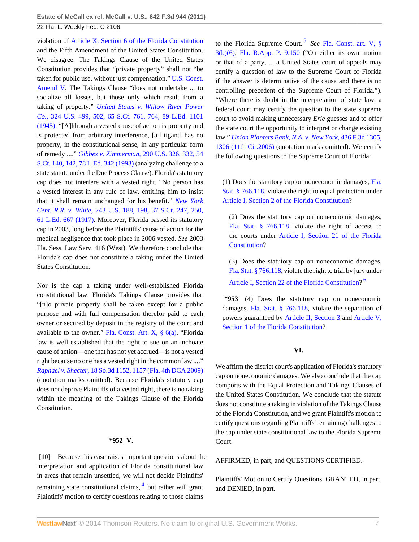violation of [Article X, Section 6 of the Florida Constitution](http://www.westlaw.com/Link/Document/FullText?findType=L&pubNum=1000006&cite=FLCNART10S6&originatingDoc=I31e01994887b11e0b63e897ab6fa6920&refType=LQ&originationContext=document&vr=3.0&rs=cblt1.0&transitionType=DocumentItem&contextData=(sc.Default)) and the Fifth Amendment of the United States Constitution. We disagree. The Takings Clause of the United States Constitution provides that "private property" shall not "be taken for public use, without just compensation." [U.S. Const.](http://www.westlaw.com/Link/Document/FullText?findType=L&pubNum=1000546&cite=USCOAMENDV&originatingDoc=I31e01994887b11e0b63e897ab6fa6920&refType=LQ&originationContext=document&vr=3.0&rs=cblt1.0&transitionType=DocumentItem&contextData=(sc.Default)) [Amend V.](http://www.westlaw.com/Link/Document/FullText?findType=L&pubNum=1000546&cite=USCOAMENDV&originatingDoc=I31e01994887b11e0b63e897ab6fa6920&refType=LQ&originationContext=document&vr=3.0&rs=cblt1.0&transitionType=DocumentItem&contextData=(sc.Default)) The Takings Clause "does not undertake ... to socialize all losses, but those only which result from a taking of property." *[United States v. Willow River Power](http://www.westlaw.com/Link/Document/FullText?findType=Y&serNum=1945116863&pubNum=708&fi=co_pp_sp_708_764&originationContext=document&vr=3.0&rs=cblt1.0&transitionType=DocumentItem&contextData=(sc.Default)#co_pp_sp_708_764) Co.,* [324 U.S. 499, 502, 65 S.Ct. 761, 764, 89 L.Ed. 1101](http://www.westlaw.com/Link/Document/FullText?findType=Y&serNum=1945116863&pubNum=708&fi=co_pp_sp_708_764&originationContext=document&vr=3.0&rs=cblt1.0&transitionType=DocumentItem&contextData=(sc.Default)#co_pp_sp_708_764) [\(1945\).](http://www.westlaw.com/Link/Document/FullText?findType=Y&serNum=1945116863&pubNum=708&fi=co_pp_sp_708_764&originationContext=document&vr=3.0&rs=cblt1.0&transitionType=DocumentItem&contextData=(sc.Default)#co_pp_sp_708_764) "[A]lthough a vested cause of action is property and is protected from arbitrary interference, [a litigant] has no property, in the constitutional sense, in any particular form of remedy ...." *[Gibbes v. Zimmerman,](http://www.westlaw.com/Link/Document/FullText?findType=Y&serNum=1933122851&pubNum=708&fi=co_pp_sp_708_142&originationContext=document&vr=3.0&rs=cblt1.0&transitionType=DocumentItem&contextData=(sc.Default)#co_pp_sp_708_142)* 290 U.S. 326, 332, 54 [S.Ct. 140, 142, 78 L.Ed. 342 \(1993\)](http://www.westlaw.com/Link/Document/FullText?findType=Y&serNum=1933122851&pubNum=708&fi=co_pp_sp_708_142&originationContext=document&vr=3.0&rs=cblt1.0&transitionType=DocumentItem&contextData=(sc.Default)#co_pp_sp_708_142) (analyzing challenge to a state statute under the Due Process Clause). Florida's statutory cap does not interfere with a vested right. "No person has a vested interest in any rule of law, entitling him to insist that it shall remain unchanged for his benefit." *[New York](http://www.westlaw.com/Link/Document/FullText?findType=Y&serNum=1917100461&pubNum=708&fi=co_pp_sp_708_250&originationContext=document&vr=3.0&rs=cblt1.0&transitionType=DocumentItem&contextData=(sc.Default)#co_pp_sp_708_250) Cent. R.R. v. White,* [243 U.S. 188, 198, 37 S.Ct. 247, 250,](http://www.westlaw.com/Link/Document/FullText?findType=Y&serNum=1917100461&pubNum=708&fi=co_pp_sp_708_250&originationContext=document&vr=3.0&rs=cblt1.0&transitionType=DocumentItem&contextData=(sc.Default)#co_pp_sp_708_250) [61 L.Ed. 667 \(1917\)](http://www.westlaw.com/Link/Document/FullText?findType=Y&serNum=1917100461&pubNum=708&fi=co_pp_sp_708_250&originationContext=document&vr=3.0&rs=cblt1.0&transitionType=DocumentItem&contextData=(sc.Default)#co_pp_sp_708_250). Moreover, Florida passed its statutory cap in 2003, long before the Plaintiffs' cause of action for the medical negligence that took place in 2006 vested. *See* 2003 Fla. Sess. Law Serv. 416 (West). We therefore conclude that Florida's cap does not constitute a taking under the United States Constitution.

Nor is the cap a taking under well-established Florida constitutional law. Florida's Takings Clause provides that "[n]o private property shall be taken except for a public purpose and with full compensation therefor paid to each owner or secured by deposit in the registry of the court and available to the owner." [Fla. Const. Art. X, § 6\(a\)](http://www.westlaw.com/Link/Document/FullText?findType=L&pubNum=1000006&cite=FLCNART10S6&originatingDoc=I31e01994887b11e0b63e897ab6fa6920&refType=LQ&originationContext=document&vr=3.0&rs=cblt1.0&transitionType=DocumentItem&contextData=(sc.Default)). "Florida law is well established that the right to sue on an inchoate cause of action—one that has not yet accrued—is not a vested right because no one has a vested right in the common law ...." *Raphael v. Shecter,* [18 So.3d 1152, 1157 \(Fla. 4th DCA 2009\)](http://www.westlaw.com/Link/Document/FullText?findType=Y&serNum=2019864685&pubNum=3926&fi=co_pp_sp_3926_1157&originationContext=document&vr=3.0&rs=cblt1.0&transitionType=DocumentItem&contextData=(sc.Default)#co_pp_sp_3926_1157) (quotation marks omitted). Because Florida's statutory cap does not deprive Plaintiffs of a vested right, there is no taking within the meaning of the Takings Clause of the Florida Constitution.

#### <span id="page-6-1"></span>**\*952 V.**

<span id="page-6-0"></span>**[\[10\]](#page-1-2)** Because this case raises important questions about the interpretation and application of Florida constitutional law in areas that remain unsettled, we will not decide Plaintiffs' remaining state constitutional claims, <sup>[4](#page-7-3)</sup> but rather will grant Plaintiffs' motion to certify questions relating to those claims

<span id="page-6-2"></span>to the Florida Supreme Court. [5](#page-7-4) *See* [Fla. Const. art. V, §](http://www.westlaw.com/Link/Document/FullText?findType=L&pubNum=1000006&cite=FLCNART5S3&originatingDoc=I31e01994887b11e0b63e897ab6fa6920&refType=LQ&originationContext=document&vr=3.0&rs=cblt1.0&transitionType=DocumentItem&contextData=(sc.Default)) [3\(b\)\(6\)](http://www.westlaw.com/Link/Document/FullText?findType=L&pubNum=1000006&cite=FLCNART5S3&originatingDoc=I31e01994887b11e0b63e897ab6fa6920&refType=LQ&originationContext=document&vr=3.0&rs=cblt1.0&transitionType=DocumentItem&contextData=(sc.Default)); [Fla. R.App. P. 9.150](http://www.westlaw.com/Link/Document/FullText?findType=L&pubNum=1000006&cite=FLSTRAPR9.150&originatingDoc=I31e01994887b11e0b63e897ab6fa6920&refType=LQ&originationContext=document&vr=3.0&rs=cblt1.0&transitionType=DocumentItem&contextData=(sc.Default)) ("On either its own motion or that of a party, ... a United States court of appeals may certify a question of law to the Supreme Court of Florida if the answer is determinative of the cause and there is no controlling precedent of the Supreme Court of Florida."). "Where there is doubt in the interpretation of state law, a federal court may certify the question to the state supreme court to avoid making unnecessary *Erie* guesses and to offer the state court the opportunity to interpret or change existing law." *[Union Planters Bank, N.A. v. New York,](http://www.westlaw.com/Link/Document/FullText?findType=Y&serNum=2008231673&pubNum=506&fi=co_pp_sp_506_1306&originationContext=document&vr=3.0&rs=cblt1.0&transitionType=DocumentItem&contextData=(sc.Default)#co_pp_sp_506_1306)* 436 F.3d 1305, [1306 \(11th Cir.2006\)](http://www.westlaw.com/Link/Document/FullText?findType=Y&serNum=2008231673&pubNum=506&fi=co_pp_sp_506_1306&originationContext=document&vr=3.0&rs=cblt1.0&transitionType=DocumentItem&contextData=(sc.Default)#co_pp_sp_506_1306) (quotation marks omitted). We certify the following questions to the Supreme Court of Florida:

(1) Does the statutory cap on noneconomic damages, [Fla.](http://www.westlaw.com/Link/Document/FullText?findType=L&pubNum=1000006&cite=FLSTS766.118&originatingDoc=I31e01994887b11e0b63e897ab6fa6920&refType=LQ&originationContext=document&vr=3.0&rs=cblt1.0&transitionType=DocumentItem&contextData=(sc.Default)) [Stat. § 766.118,](http://www.westlaw.com/Link/Document/FullText?findType=L&pubNum=1000006&cite=FLSTS766.118&originatingDoc=I31e01994887b11e0b63e897ab6fa6920&refType=LQ&originationContext=document&vr=3.0&rs=cblt1.0&transitionType=DocumentItem&contextData=(sc.Default)) violate the right to equal protection under [Article I, Section 2 of the Florida Constitution](http://www.westlaw.com/Link/Document/FullText?findType=L&pubNum=1000006&cite=FLCNART1S2&originatingDoc=I31e01994887b11e0b63e897ab6fa6920&refType=LQ&originationContext=document&vr=3.0&rs=cblt1.0&transitionType=DocumentItem&contextData=(sc.Default))?

(2) Does the statutory cap on noneconomic damages, [Fla. Stat. § 766.118](http://www.westlaw.com/Link/Document/FullText?findType=L&pubNum=1000006&cite=FLSTS766.118&originatingDoc=I31e01994887b11e0b63e897ab6fa6920&refType=LQ&originationContext=document&vr=3.0&rs=cblt1.0&transitionType=DocumentItem&contextData=(sc.Default)), violate the right of access to the courts under [Article I, Section 21 of the Florida](http://www.westlaw.com/Link/Document/FullText?findType=L&pubNum=1000006&cite=FLCNART1S21&originatingDoc=I31e01994887b11e0b63e897ab6fa6920&refType=LQ&originationContext=document&vr=3.0&rs=cblt1.0&transitionType=DocumentItem&contextData=(sc.Default)) [Constitution](http://www.westlaw.com/Link/Document/FullText?findType=L&pubNum=1000006&cite=FLCNART1S21&originatingDoc=I31e01994887b11e0b63e897ab6fa6920&refType=LQ&originationContext=document&vr=3.0&rs=cblt1.0&transitionType=DocumentItem&contextData=(sc.Default))?

(3) Does the statutory cap on noneconomic damages, [Fla. Stat. § 766.118,](http://www.westlaw.com/Link/Document/FullText?findType=L&pubNum=1000006&cite=FLSTS766.118&originatingDoc=I31e01994887b11e0b63e897ab6fa6920&refType=LQ&originationContext=document&vr=3.0&rs=cblt1.0&transitionType=DocumentItem&contextData=(sc.Default)) violate the right to trial by jury under [Article I, Section 22 of the Florida Constitution](http://www.westlaw.com/Link/Document/FullText?findType=L&pubNum=1000006&cite=FLCNART1S22&originatingDoc=I31e01994887b11e0b63e897ab6fa6920&refType=LQ&originationContext=document&vr=3.0&rs=cblt1.0&transitionType=DocumentItem&contextData=(sc.Default))?<sup>[6](#page-7-5)</sup>

**\*953** (4) Does the statutory cap on noneconomic damages, [Fla. Stat. § 766.118,](http://www.westlaw.com/Link/Document/FullText?findType=L&pubNum=1000006&cite=FLSTS766.118&originatingDoc=I31e01994887b11e0b63e897ab6fa6920&refType=LQ&originationContext=document&vr=3.0&rs=cblt1.0&transitionType=DocumentItem&contextData=(sc.Default)) violate the separation of powers guaranteed by [Article II, Section 3](http://www.westlaw.com/Link/Document/FullText?findType=L&pubNum=1000006&cite=FLCNART2S3&originatingDoc=I31e01994887b11e0b63e897ab6fa6920&refType=LQ&originationContext=document&vr=3.0&rs=cblt1.0&transitionType=DocumentItem&contextData=(sc.Default)) and [Article V,](http://www.westlaw.com/Link/Document/FullText?findType=L&pubNum=1000006&cite=FLCNART5S1&originatingDoc=I31e01994887b11e0b63e897ab6fa6920&refType=LQ&originationContext=document&vr=3.0&rs=cblt1.0&transitionType=DocumentItem&contextData=(sc.Default)) [Section 1 of the Florida Constitution](http://www.westlaw.com/Link/Document/FullText?findType=L&pubNum=1000006&cite=FLCNART5S1&originatingDoc=I31e01994887b11e0b63e897ab6fa6920&refType=LQ&originationContext=document&vr=3.0&rs=cblt1.0&transitionType=DocumentItem&contextData=(sc.Default))?

## <span id="page-6-3"></span>**VI.**

We affirm the district court's application of Florida's statutory cap on noneconomic damages. We also conclude that the cap comports with the Equal Protection and Takings Clauses of the United States Constitution. We conclude that the statute does not constitute a taking in violation of the Takings Clause of the Florida Constitution, and we grant Plaintiff's motion to certify questions regarding Plaintiffs' remaining challenges to the cap under state constitutional law to the Florida Supreme Court.

AFFIRMED, in part, and QUESTIONS CERTIFIED.

Plaintiffs' Motion to Certify Questions, GRANTED, in part, and DENIED, in part.